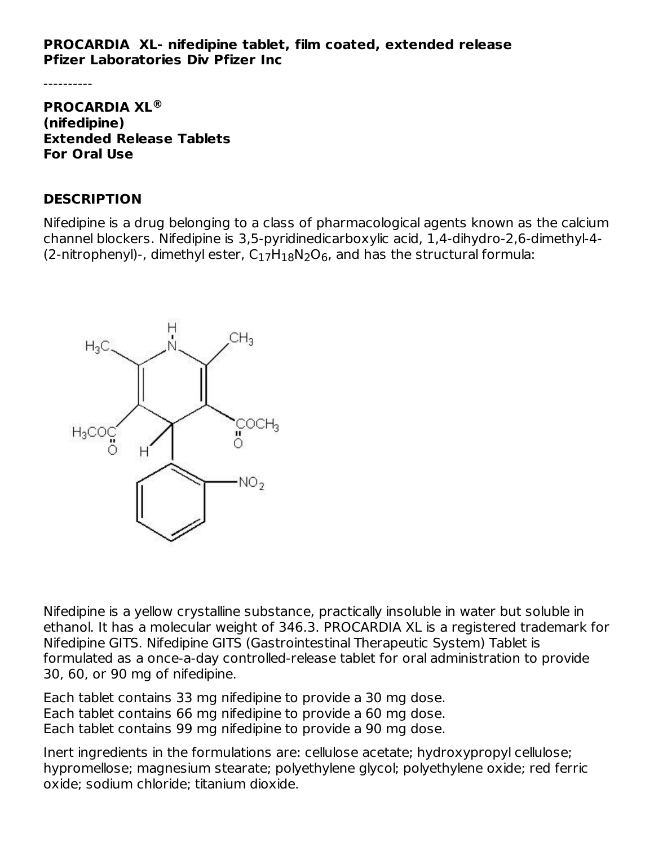#### **PROCARDIA XL- nifedipine tablet, film coated, extended release Pfizer Laboratories Div Pfizer Inc**

----------

**PROCARDIA XL ® (nifedipine) Extended Release Tablets For Oral Use**

#### **DESCRIPTION**

Nifedipine is a drug belonging to a class of pharmacological agents known as the calcium channel blockers. Nifedipine is 3,5-pyridinedicarboxylic acid, 1,4-dihydro-2,6-dimethyl-4- (2-nitrophenyl)-, dimethyl ester,  $C_{17}H_{18}N_2O_6$ , and has the structural formula:



Nifedipine is a yellow crystalline substance, practically insoluble in water but soluble in ethanol. It has a molecular weight of 346.3. PROCARDIA XL is a registered trademark for Nifedipine GITS. Nifedipine GITS (Gastrointestinal Therapeutic System) Tablet is formulated as a once-a-day controlled-release tablet for oral administration to provide 30, 60, or 90 mg of nifedipine.

Each tablet contains 33 mg nifedipine to provide a 30 mg dose. Each tablet contains 66 mg nifedipine to provide a 60 mg dose. Each tablet contains 99 mg nifedipine to provide a 90 mg dose.

Inert ingredients in the formulations are: cellulose acetate; hydroxypropyl cellulose; hypromellose; magnesium stearate; polyethylene glycol; polyethylene oxide; red ferric oxide; sodium chloride; titanium dioxide.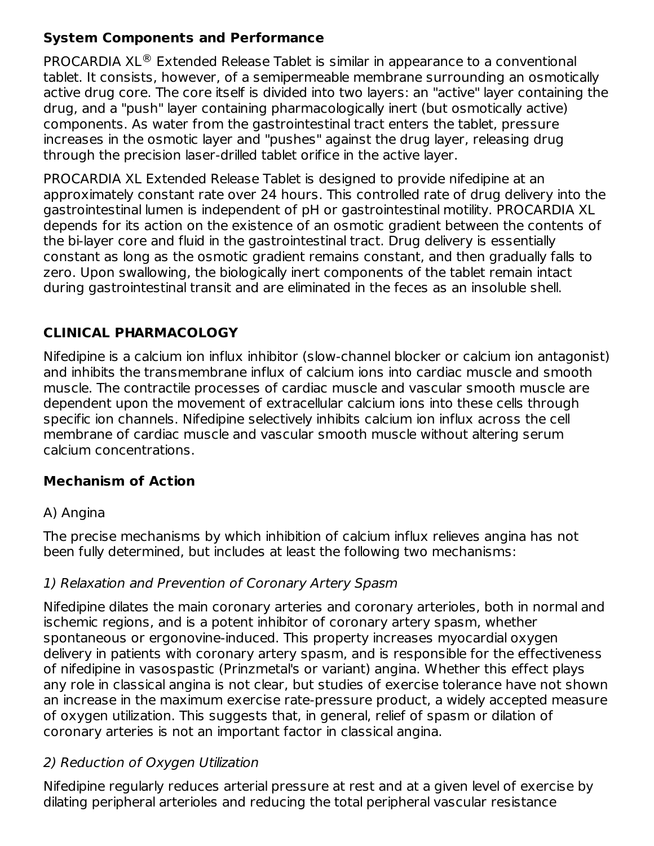# **System Components and Performance**

PROCARDIA XL $^{\circledR}$  Extended Release Tablet is similar in appearance to a conventional tablet. It consists, however, of a semipermeable membrane surrounding an osmotically active drug core. The core itself is divided into two layers: an "active" layer containing the drug, and a "push" layer containing pharmacologically inert (but osmotically active) components. As water from the gastrointestinal tract enters the tablet, pressure increases in the osmotic layer and "pushes" against the drug layer, releasing drug through the precision laser-drilled tablet orifice in the active layer.

PROCARDIA XL Extended Release Tablet is designed to provide nifedipine at an approximately constant rate over 24 hours. This controlled rate of drug delivery into the gastrointestinal lumen is independent of pH or gastrointestinal motility. PROCARDIA XL depends for its action on the existence of an osmotic gradient between the contents of the bi-layer core and fluid in the gastrointestinal tract. Drug delivery is essentially constant as long as the osmotic gradient remains constant, and then gradually falls to zero. Upon swallowing, the biologically inert components of the tablet remain intact during gastrointestinal transit and are eliminated in the feces as an insoluble shell.

# **CLINICAL PHARMACOLOGY**

Nifedipine is a calcium ion influx inhibitor (slow-channel blocker or calcium ion antagonist) and inhibits the transmembrane influx of calcium ions into cardiac muscle and smooth muscle. The contractile processes of cardiac muscle and vascular smooth muscle are dependent upon the movement of extracellular calcium ions into these cells through specific ion channels. Nifedipine selectively inhibits calcium ion influx across the cell membrane of cardiac muscle and vascular smooth muscle without altering serum calcium concentrations.

## **Mechanism of Action**

#### A) Angina

The precise mechanisms by which inhibition of calcium influx relieves angina has not been fully determined, but includes at least the following two mechanisms:

## 1) Relaxation and Prevention of Coronary Artery Spasm

Nifedipine dilates the main coronary arteries and coronary arterioles, both in normal and ischemic regions, and is a potent inhibitor of coronary artery spasm, whether spontaneous or ergonovine-induced. This property increases myocardial oxygen delivery in patients with coronary artery spasm, and is responsible for the effectiveness of nifedipine in vasospastic (Prinzmetal's or variant) angina. Whether this effect plays any role in classical angina is not clear, but studies of exercise tolerance have not shown an increase in the maximum exercise rate-pressure product, a widely accepted measure of oxygen utilization. This suggests that, in general, relief of spasm or dilation of coronary arteries is not an important factor in classical angina.

## 2) Reduction of Oxygen Utilization

Nifedipine regularly reduces arterial pressure at rest and at a given level of exercise by dilating peripheral arterioles and reducing the total peripheral vascular resistance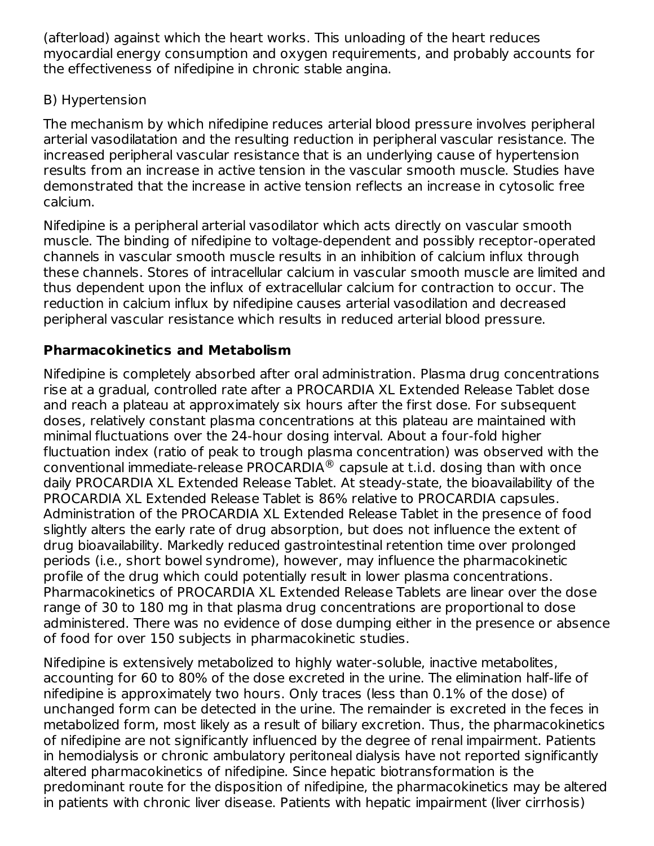(afterload) against which the heart works. This unloading of the heart reduces myocardial energy consumption and oxygen requirements, and probably accounts for the effectiveness of nifedipine in chronic stable angina.

#### B) Hypertension

The mechanism by which nifedipine reduces arterial blood pressure involves peripheral arterial vasodilatation and the resulting reduction in peripheral vascular resistance. The increased peripheral vascular resistance that is an underlying cause of hypertension results from an increase in active tension in the vascular smooth muscle. Studies have demonstrated that the increase in active tension reflects an increase in cytosolic free calcium.

Nifedipine is a peripheral arterial vasodilator which acts directly on vascular smooth muscle. The binding of nifedipine to voltage-dependent and possibly receptor-operated channels in vascular smooth muscle results in an inhibition of calcium influx through these channels. Stores of intracellular calcium in vascular smooth muscle are limited and thus dependent upon the influx of extracellular calcium for contraction to occur. The reduction in calcium influx by nifedipine causes arterial vasodilation and decreased peripheral vascular resistance which results in reduced arterial blood pressure.

## **Pharmacokinetics and Metabolism**

Nifedipine is completely absorbed after oral administration. Plasma drug concentrations rise at a gradual, controlled rate after a PROCARDIA XL Extended Release Tablet dose and reach a plateau at approximately six hours after the first dose. For subsequent doses, relatively constant plasma concentrations at this plateau are maintained with minimal fluctuations over the 24-hour dosing interval. About a four-fold higher fluctuation index (ratio of peak to trough plasma concentration) was observed with the conventional immediate-release PROCARDIA $^\circledR$  capsule at t.i.d. dosing than with once daily PROCARDIA XL Extended Release Tablet. At steady-state, the bioavailability of the PROCARDIA XL Extended Release Tablet is 86% relative to PROCARDIA capsules. Administration of the PROCARDIA XL Extended Release Tablet in the presence of food slightly alters the early rate of drug absorption, but does not influence the extent of drug bioavailability. Markedly reduced gastrointestinal retention time over prolonged periods (i.e., short bowel syndrome), however, may influence the pharmacokinetic profile of the drug which could potentially result in lower plasma concentrations. Pharmacokinetics of PROCARDIA XL Extended Release Tablets are linear over the dose range of 30 to 180 mg in that plasma drug concentrations are proportional to dose administered. There was no evidence of dose dumping either in the presence or absence of food for over 150 subjects in pharmacokinetic studies.

Nifedipine is extensively metabolized to highly water-soluble, inactive metabolites, accounting for 60 to 80% of the dose excreted in the urine. The elimination half-life of nifedipine is approximately two hours. Only traces (less than 0.1% of the dose) of unchanged form can be detected in the urine. The remainder is excreted in the feces in metabolized form, most likely as a result of biliary excretion. Thus, the pharmacokinetics of nifedipine are not significantly influenced by the degree of renal impairment. Patients in hemodialysis or chronic ambulatory peritoneal dialysis have not reported significantly altered pharmacokinetics of nifedipine. Since hepatic biotransformation is the predominant route for the disposition of nifedipine, the pharmacokinetics may be altered in patients with chronic liver disease. Patients with hepatic impairment (liver cirrhosis)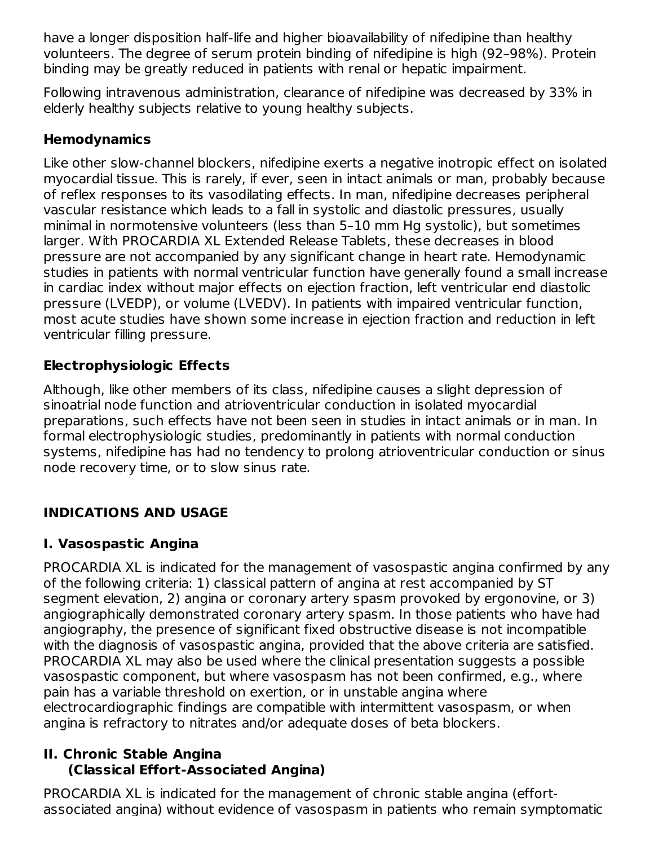have a longer disposition half-life and higher bioavailability of nifedipine than healthy volunteers. The degree of serum protein binding of nifedipine is high (92–98%). Protein binding may be greatly reduced in patients with renal or hepatic impairment.

Following intravenous administration, clearance of nifedipine was decreased by 33% in elderly healthy subjects relative to young healthy subjects.

# **Hemodynamics**

Like other slow-channel blockers, nifedipine exerts a negative inotropic effect on isolated myocardial tissue. This is rarely, if ever, seen in intact animals or man, probably because of reflex responses to its vasodilating effects. In man, nifedipine decreases peripheral vascular resistance which leads to a fall in systolic and diastolic pressures, usually minimal in normotensive volunteers (less than 5–10 mm Hg systolic), but sometimes larger. With PROCARDIA XL Extended Release Tablets, these decreases in blood pressure are not accompanied by any significant change in heart rate. Hemodynamic studies in patients with normal ventricular function have generally found a small increase in cardiac index without major effects on ejection fraction, left ventricular end diastolic pressure (LVEDP), or volume (LVEDV). In patients with impaired ventricular function, most acute studies have shown some increase in ejection fraction and reduction in left ventricular filling pressure.

# **Electrophysiologic Effects**

Although, like other members of its class, nifedipine causes a slight depression of sinoatrial node function and atrioventricular conduction in isolated myocardial preparations, such effects have not been seen in studies in intact animals or in man. In formal electrophysiologic studies, predominantly in patients with normal conduction systems, nifedipine has had no tendency to prolong atrioventricular conduction or sinus node recovery time, or to slow sinus rate.

# **INDICATIONS AND USAGE**

# **I. Vasospastic Angina**

PROCARDIA XL is indicated for the management of vasospastic angina confirmed by any of the following criteria: 1) classical pattern of angina at rest accompanied by ST segment elevation, 2) angina or coronary artery spasm provoked by ergonovine, or 3) angiographically demonstrated coronary artery spasm. In those patients who have had angiography, the presence of significant fixed obstructive disease is not incompatible with the diagnosis of vasospastic angina, provided that the above criteria are satisfied. PROCARDIA XL may also be used where the clinical presentation suggests a possible vasospastic component, but where vasospasm has not been confirmed, e.g., where pain has a variable threshold on exertion, or in unstable angina where electrocardiographic findings are compatible with intermittent vasospasm, or when angina is refractory to nitrates and/or adequate doses of beta blockers.

#### **II. Chronic Stable Angina (Classical Effort-Associated Angina)**

PROCARDIA XL is indicated for the management of chronic stable angina (effortassociated angina) without evidence of vasospasm in patients who remain symptomatic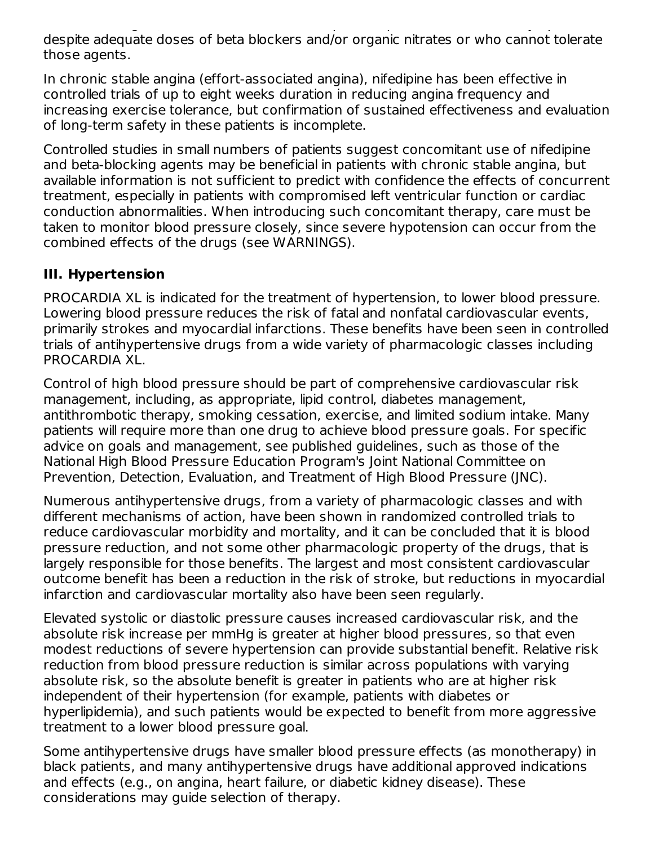associated angina) without evidence of vasospasm in patients who remain symptomatic despite adequate doses of beta blockers and/or organic nitrates or who cannot tolerate those agents.

In chronic stable angina (effort-associated angina), nifedipine has been effective in controlled trials of up to eight weeks duration in reducing angina frequency and increasing exercise tolerance, but confirmation of sustained effectiveness and evaluation of long-term safety in these patients is incomplete.

Controlled studies in small numbers of patients suggest concomitant use of nifedipine and beta-blocking agents may be beneficial in patients with chronic stable angina, but available information is not sufficient to predict with confidence the effects of concurrent treatment, especially in patients with compromised left ventricular function or cardiac conduction abnormalities. When introducing such concomitant therapy, care must be taken to monitor blood pressure closely, since severe hypotension can occur from the combined effects of the drugs (see WARNINGS).

## **III. Hypertension**

PROCARDIA XL is indicated for the treatment of hypertension, to lower blood pressure. Lowering blood pressure reduces the risk of fatal and nonfatal cardiovascular events, primarily strokes and myocardial infarctions. These benefits have been seen in controlled trials of antihypertensive drugs from a wide variety of pharmacologic classes including PROCARDIA XL.

Control of high blood pressure should be part of comprehensive cardiovascular risk management, including, as appropriate, lipid control, diabetes management, antithrombotic therapy, smoking cessation, exercise, and limited sodium intake. Many patients will require more than one drug to achieve blood pressure goals. For specific advice on goals and management, see published guidelines, such as those of the National High Blood Pressure Education Program's Joint National Committee on Prevention, Detection, Evaluation, and Treatment of High Blood Pressure (JNC).

Numerous antihypertensive drugs, from a variety of pharmacologic classes and with different mechanisms of action, have been shown in randomized controlled trials to reduce cardiovascular morbidity and mortality, and it can be concluded that it is blood pressure reduction, and not some other pharmacologic property of the drugs, that is largely responsible for those benefits. The largest and most consistent cardiovascular outcome benefit has been a reduction in the risk of stroke, but reductions in myocardial infarction and cardiovascular mortality also have been seen regularly.

Elevated systolic or diastolic pressure causes increased cardiovascular risk, and the absolute risk increase per mmHg is greater at higher blood pressures, so that even modest reductions of severe hypertension can provide substantial benefit. Relative risk reduction from blood pressure reduction is similar across populations with varying absolute risk, so the absolute benefit is greater in patients who are at higher risk independent of their hypertension (for example, patients with diabetes or hyperlipidemia), and such patients would be expected to benefit from more aggressive treatment to a lower blood pressure goal.

Some antihypertensive drugs have smaller blood pressure effects (as monotherapy) in black patients, and many antihypertensive drugs have additional approved indications and effects (e.g., on angina, heart failure, or diabetic kidney disease). These considerations may guide selection of therapy.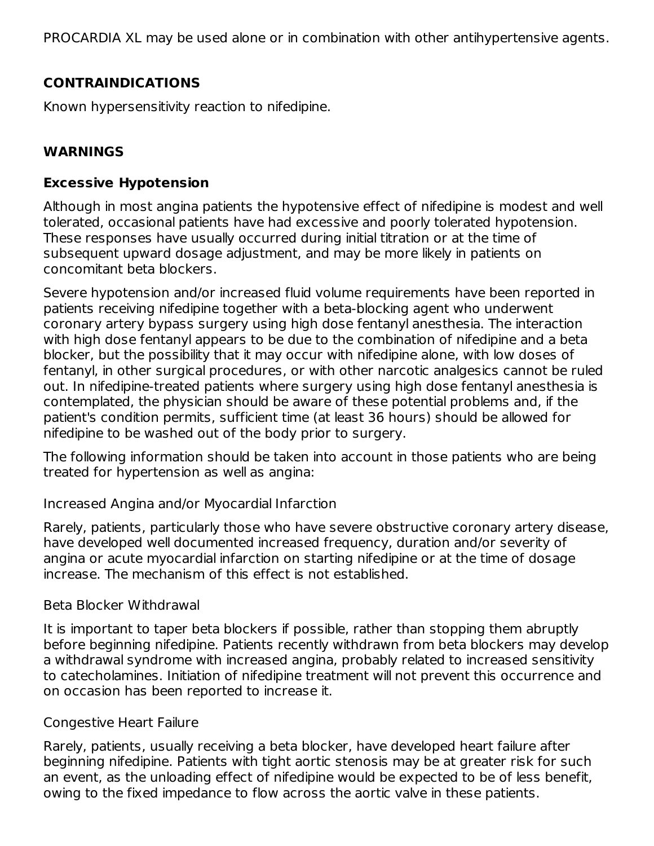PROCARDIA XL may be used alone or in combination with other antihypertensive agents.

#### **CONTRAINDICATIONS**

Known hypersensitivity reaction to nifedipine.

#### **WARNINGS**

#### **Excessive Hypotension**

Although in most angina patients the hypotensive effect of nifedipine is modest and well tolerated, occasional patients have had excessive and poorly tolerated hypotension. These responses have usually occurred during initial titration or at the time of subsequent upward dosage adjustment, and may be more likely in patients on concomitant beta blockers.

Severe hypotension and/or increased fluid volume requirements have been reported in patients receiving nifedipine together with a beta-blocking agent who underwent coronary artery bypass surgery using high dose fentanyl anesthesia. The interaction with high dose fentanyl appears to be due to the combination of nifedipine and a beta blocker, but the possibility that it may occur with nifedipine alone, with low doses of fentanyl, in other surgical procedures, or with other narcotic analgesics cannot be ruled out. In nifedipine-treated patients where surgery using high dose fentanyl anesthesia is contemplated, the physician should be aware of these potential problems and, if the patient's condition permits, sufficient time (at least 36 hours) should be allowed for nifedipine to be washed out of the body prior to surgery.

The following information should be taken into account in those patients who are being treated for hypertension as well as angina:

Increased Angina and/or Myocardial Infarction

Rarely, patients, particularly those who have severe obstructive coronary artery disease, have developed well documented increased frequency, duration and/or severity of angina or acute myocardial infarction on starting nifedipine or at the time of dosage increase. The mechanism of this effect is not established.

#### Beta Blocker Withdrawal

It is important to taper beta blockers if possible, rather than stopping them abruptly before beginning nifedipine. Patients recently withdrawn from beta blockers may develop a withdrawal syndrome with increased angina, probably related to increased sensitivity to catecholamines. Initiation of nifedipine treatment will not prevent this occurrence and on occasion has been reported to increase it.

#### Congestive Heart Failure

Rarely, patients, usually receiving a beta blocker, have developed heart failure after beginning nifedipine. Patients with tight aortic stenosis may be at greater risk for such an event, as the unloading effect of nifedipine would be expected to be of less benefit, owing to the fixed impedance to flow across the aortic valve in these patients.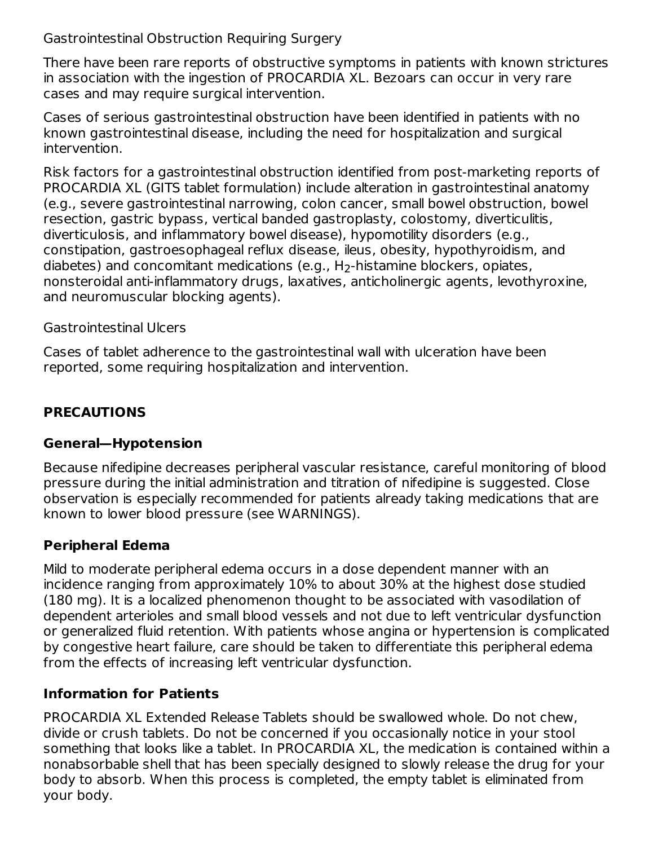Gastrointestinal Obstruction Requiring Surgery

There have been rare reports of obstructive symptoms in patients with known strictures in association with the ingestion of PROCARDIA XL. Bezoars can occur in very rare cases and may require surgical intervention.

Cases of serious gastrointestinal obstruction have been identified in patients with no known gastrointestinal disease, including the need for hospitalization and surgical intervention.

Risk factors for a gastrointestinal obstruction identified from post-marketing reports of PROCARDIA XL (GITS tablet formulation) include alteration in gastrointestinal anatomy (e.g., severe gastrointestinal narrowing, colon cancer, small bowel obstruction, bowel resection, gastric bypass, vertical banded gastroplasty, colostomy, diverticulitis, diverticulosis, and inflammatory bowel disease), hypomotility disorders (e.g., constipation, gastroesophageal reflux disease, ileus, obesity, hypothyroidism, and diabetes) and concomitant medications (e.g.,  $H_2$ -histamine blockers, opiates, nonsteroidal anti-inflammatory drugs, laxatives, anticholinergic agents, levothyroxine, and neuromuscular blocking agents).

#### Gastrointestinal Ulcers

Cases of tablet adherence to the gastrointestinal wall with ulceration have been reported, some requiring hospitalization and intervention.

# **PRECAUTIONS**

#### **General—Hypotension**

Because nifedipine decreases peripheral vascular resistance, careful monitoring of blood pressure during the initial administration and titration of nifedipine is suggested. Close observation is especially recommended for patients already taking medications that are known to lower blood pressure (see WARNINGS).

## **Peripheral Edema**

Mild to moderate peripheral edema occurs in a dose dependent manner with an incidence ranging from approximately 10% to about 30% at the highest dose studied (180 mg). It is a localized phenomenon thought to be associated with vasodilation of dependent arterioles and small blood vessels and not due to left ventricular dysfunction or generalized fluid retention. With patients whose angina or hypertension is complicated by congestive heart failure, care should be taken to differentiate this peripheral edema from the effects of increasing left ventricular dysfunction.

#### **Information for Patients**

PROCARDIA XL Extended Release Tablets should be swallowed whole. Do not chew, divide or crush tablets. Do not be concerned if you occasionally notice in your stool something that looks like a tablet. In PROCARDIA XL, the medication is contained within a nonabsorbable shell that has been specially designed to slowly release the drug for your body to absorb. When this process is completed, the empty tablet is eliminated from your body.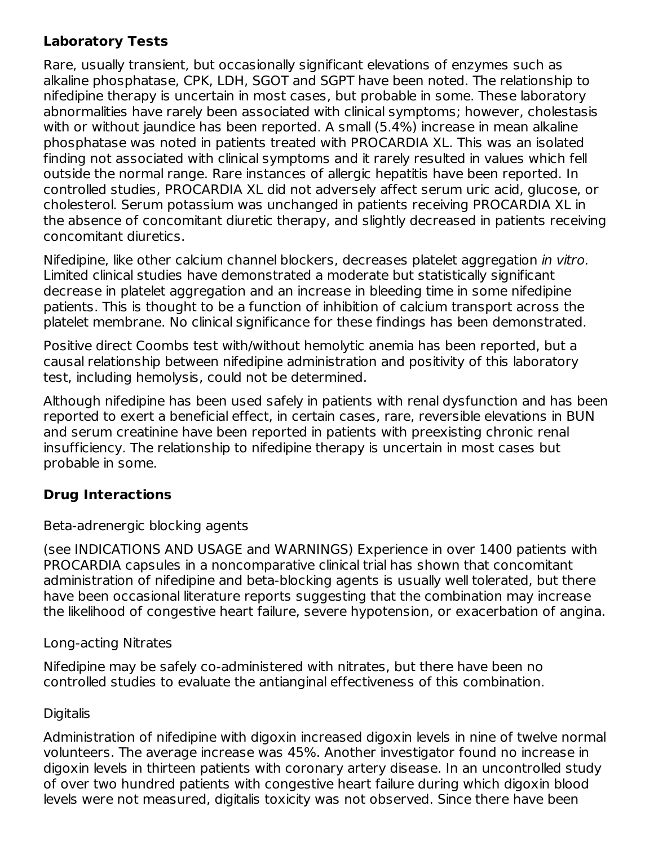#### **Laboratory Tests**

Rare, usually transient, but occasionally significant elevations of enzymes such as alkaline phosphatase, CPK, LDH, SGOT and SGPT have been noted. The relationship to nifedipine therapy is uncertain in most cases, but probable in some. These laboratory abnormalities have rarely been associated with clinical symptoms; however, cholestasis with or without jaundice has been reported. A small (5.4%) increase in mean alkaline phosphatase was noted in patients treated with PROCARDIA XL. This was an isolated finding not associated with clinical symptoms and it rarely resulted in values which fell outside the normal range. Rare instances of allergic hepatitis have been reported. In controlled studies, PROCARDIA XL did not adversely affect serum uric acid, glucose, or cholesterol. Serum potassium was unchanged in patients receiving PROCARDIA XL in the absence of concomitant diuretic therapy, and slightly decreased in patients receiving concomitant diuretics.

Nifedipine, like other calcium channel blockers, decreases platelet aggregation in vitro. Limited clinical studies have demonstrated a moderate but statistically significant decrease in platelet aggregation and an increase in bleeding time in some nifedipine patients. This is thought to be a function of inhibition of calcium transport across the platelet membrane. No clinical significance for these findings has been demonstrated.

Positive direct Coombs test with/without hemolytic anemia has been reported, but a causal relationship between nifedipine administration and positivity of this laboratory test, including hemolysis, could not be determined.

Although nifedipine has been used safely in patients with renal dysfunction and has been reported to exert a beneficial effect, in certain cases, rare, reversible elevations in BUN and serum creatinine have been reported in patients with preexisting chronic renal insufficiency. The relationship to nifedipine therapy is uncertain in most cases but probable in some.

## **Drug Interactions**

Beta-adrenergic blocking agents

(see INDICATIONS AND USAGE and WARNINGS) Experience in over 1400 patients with PROCARDIA capsules in a noncomparative clinical trial has shown that concomitant administration of nifedipine and beta-blocking agents is usually well tolerated, but there have been occasional literature reports suggesting that the combination may increase the likelihood of congestive heart failure, severe hypotension, or exacerbation of angina.

#### Long-acting Nitrates

Nifedipine may be safely co-administered with nitrates, but there have been no controlled studies to evaluate the antianginal effectiveness of this combination.

#### **Digitalis**

Administration of nifedipine with digoxin increased digoxin levels in nine of twelve normal volunteers. The average increase was 45%. Another investigator found no increase in digoxin levels in thirteen patients with coronary artery disease. In an uncontrolled study of over two hundred patients with congestive heart failure during which digoxin blood levels were not measured, digitalis toxicity was not observed. Since there have been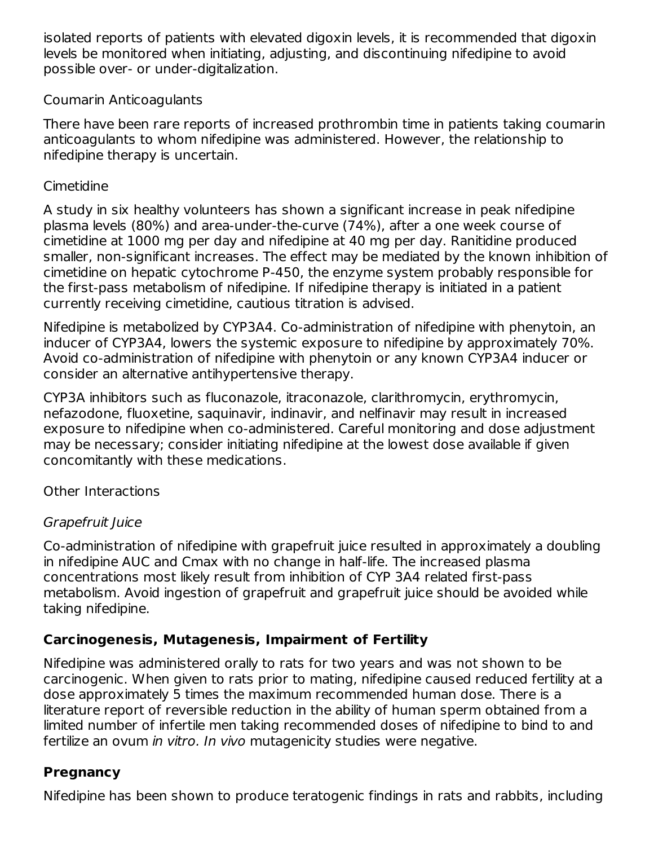isolated reports of patients with elevated digoxin levels, it is recommended that digoxin levels be monitored when initiating, adjusting, and discontinuing nifedipine to avoid possible over- or under-digitalization.

#### Coumarin Anticoagulants

There have been rare reports of increased prothrombin time in patients taking coumarin anticoagulants to whom nifedipine was administered. However, the relationship to nifedipine therapy is uncertain.

#### Cimetidine

A study in six healthy volunteers has shown a significant increase in peak nifedipine plasma levels (80%) and area-under-the-curve (74%), after a one week course of cimetidine at 1000 mg per day and nifedipine at 40 mg per day. Ranitidine produced smaller, non-significant increases. The effect may be mediated by the known inhibition of cimetidine on hepatic cytochrome P-450, the enzyme system probably responsible for the first-pass metabolism of nifedipine. If nifedipine therapy is initiated in a patient currently receiving cimetidine, cautious titration is advised.

Nifedipine is metabolized by CYP3A4. Co-administration of nifedipine with phenytoin, an inducer of CYP3A4, lowers the systemic exposure to nifedipine by approximately 70%. Avoid co-administration of nifedipine with phenytoin or any known CYP3A4 inducer or consider an alternative antihypertensive therapy.

CYP3A inhibitors such as fluconazole, itraconazole, clarithromycin, erythromycin, nefazodone, fluoxetine, saquinavir, indinavir, and nelfinavir may result in increased exposure to nifedipine when co-administered. Careful monitoring and dose adjustment may be necessary; consider initiating nifedipine at the lowest dose available if given concomitantly with these medications.

## Other Interactions

## Grapefruit Juice

Co-administration of nifedipine with grapefruit juice resulted in approximately a doubling in nifedipine AUC and Cmax with no change in half-life. The increased plasma concentrations most likely result from inhibition of CYP 3A4 related first-pass metabolism. Avoid ingestion of grapefruit and grapefruit juice should be avoided while taking nifedipine.

## **Carcinogenesis, Mutagenesis, Impairment of Fertility**

Nifedipine was administered orally to rats for two years and was not shown to be carcinogenic. When given to rats prior to mating, nifedipine caused reduced fertility at a dose approximately 5 times the maximum recommended human dose. There is a literature report of reversible reduction in the ability of human sperm obtained from a limited number of infertile men taking recommended doses of nifedipine to bind to and fertilize an ovum in vitro. In vivo mutagenicity studies were negative.

## **Pregnancy**

Nifedipine has been shown to produce teratogenic findings in rats and rabbits, including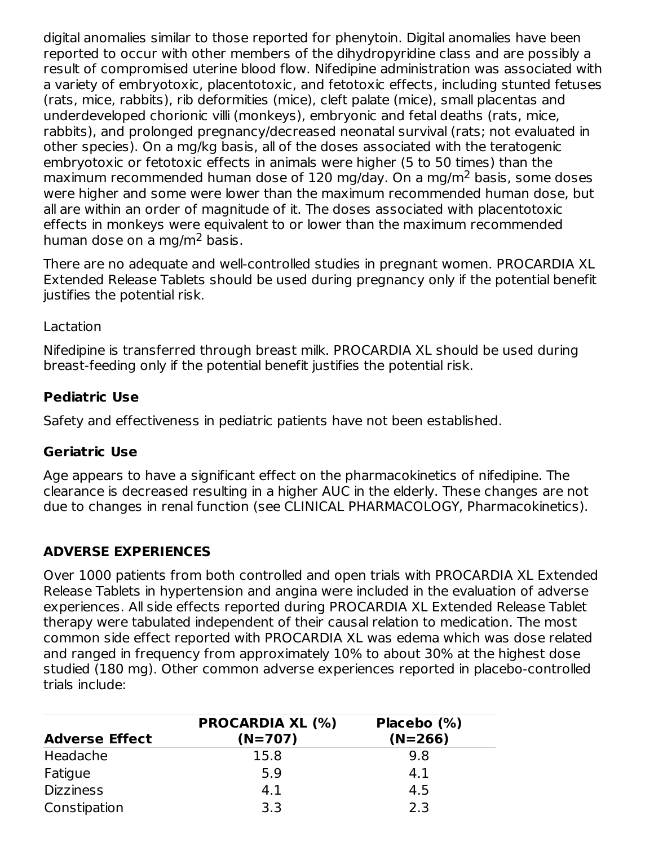digital anomalies similar to those reported for phenytoin. Digital anomalies have been reported to occur with other members of the dihydropyridine class and are possibly a result of compromised uterine blood flow. Nifedipine administration was associated with a variety of embryotoxic, placentotoxic, and fetotoxic effects, including stunted fetuses (rats, mice, rabbits), rib deformities (mice), cleft palate (mice), small placentas and underdeveloped chorionic villi (monkeys), embryonic and fetal deaths (rats, mice, rabbits), and prolonged pregnancy/decreased neonatal survival (rats; not evaluated in other species). On a mg/kg basis, all of the doses associated with the teratogenic embryotoxic or fetotoxic effects in animals were higher (5 to 50 times) than the maximum recommended human dose of 120 mg/day. On a mg/m<sup>2</sup> basis, some doses were higher and some were lower than the maximum recommended human dose, but all are within an order of magnitude of it. The doses associated with placentotoxic effects in monkeys were equivalent to or lower than the maximum recommended human dose on a mg/m<sup>2</sup> basis.

There are no adequate and well-controlled studies in pregnant women. PROCARDIA XL Extended Release Tablets should be used during pregnancy only if the potential benefit justifies the potential risk.

**Lactation** 

Nifedipine is transferred through breast milk. PROCARDIA XL should be used during breast-feeding only if the potential benefit justifies the potential risk.

## **Pediatric Use**

Safety and effectiveness in pediatric patients have not been established.

## **Geriatric Use**

Age appears to have a significant effect on the pharmacokinetics of nifedipine. The clearance is decreased resulting in a higher AUC in the elderly. These changes are not due to changes in renal function (see CLINICAL PHARMACOLOGY, Pharmacokinetics).

## **ADVERSE EXPERIENCES**

Over 1000 patients from both controlled and open trials with PROCARDIA XL Extended Release Tablets in hypertension and angina were included in the evaluation of adverse experiences. All side effects reported during PROCARDIA XL Extended Release Tablet therapy were tabulated independent of their causal relation to medication. The most common side effect reported with PROCARDIA XL was edema which was dose related and ranged in frequency from approximately 10% to about 30% at the highest dose studied (180 mg). Other common adverse experiences reported in placebo-controlled trials include:

| <b>Adverse Effect</b> | <b>PROCARDIA XL (%)</b><br>$(N=707)$ | Placebo (%)<br>$(N=266)$ |
|-----------------------|--------------------------------------|--------------------------|
| Headache              | 15.8                                 | 9.8                      |
| Fatigue               | 5.9                                  | 4.1                      |
| <b>Dizziness</b>      | 4.1                                  | 4.5                      |
| Constipation          | 3.3                                  | 2.3                      |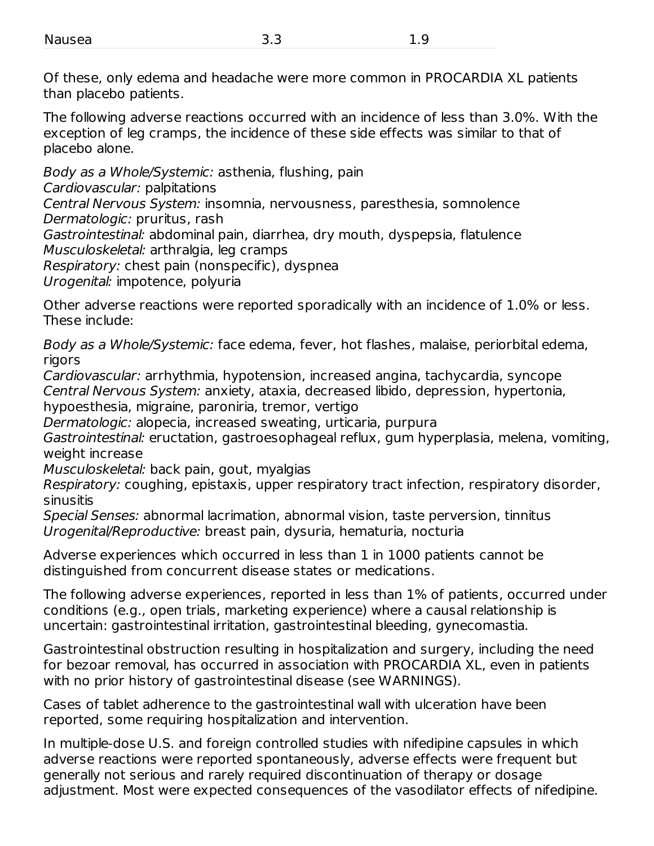| Nausea | ر .ر | $\mathbf{L}.\mathbf{9}$ |
|--------|------|-------------------------|
|        |      |                         |

Of these, only edema and headache were more common in PROCARDIA XL patients than placebo patients.

The following adverse reactions occurred with an incidence of less than 3.0%. With the exception of leg cramps, the incidence of these side effects was similar to that of placebo alone.

Body as a Whole/Systemic: asthenia, flushing, pain

Cardiovascular: palpitations

Central Nervous System: insomnia, nervousness, paresthesia, somnolence Dermatologic: pruritus, rash

Gastrointestinal: abdominal pain, diarrhea, dry mouth, dyspepsia, flatulence Musculoskeletal: arthralgia, leg cramps

Respiratory: chest pain (nonspecific), dyspnea

Urogenital: impotence, polyuria

Other adverse reactions were reported sporadically with an incidence of 1.0% or less. These include:

Body as a Whole/Systemic: face edema, fever, hot flashes, malaise, periorbital edema, rigors

Cardiovascular: arrhythmia, hypotension, increased angina, tachycardia, syncope Central Nervous System: anxiety, ataxia, decreased libido, depression, hypertonia, hypoesthesia, migraine, paroniria, tremor, vertigo

Dermatologic: alopecia, increased sweating, urticaria, purpura

Gastrointestinal: eructation, gastroesophageal reflux, gum hyperplasia, melena, vomiting, weight increase

Musculoskeletal: back pain, gout, myalgias

Respiratory: coughing, epistaxis, upper respiratory tract infection, respiratory disorder, sinusitis

Special Senses: abnormal lacrimation, abnormal vision, taste perversion, tinnitus Urogenital/Reproductive: breast pain, dysuria, hematuria, nocturia

Adverse experiences which occurred in less than 1 in 1000 patients cannot be distinguished from concurrent disease states or medications.

The following adverse experiences, reported in less than 1% of patients, occurred under conditions (e.g., open trials, marketing experience) where a causal relationship is uncertain: gastrointestinal irritation, gastrointestinal bleeding, gynecomastia.

Gastrointestinal obstruction resulting in hospitalization and surgery, including the need for bezoar removal, has occurred in association with PROCARDIA XL, even in patients with no prior history of gastrointestinal disease (see WARNINGS).

Cases of tablet adherence to the gastrointestinal wall with ulceration have been reported, some requiring hospitalization and intervention.

In multiple-dose U.S. and foreign controlled studies with nifedipine capsules in which adverse reactions were reported spontaneously, adverse effects were frequent but generally not serious and rarely required discontinuation of therapy or dosage adjustment. Most were expected consequences of the vasodilator effects of nifedipine.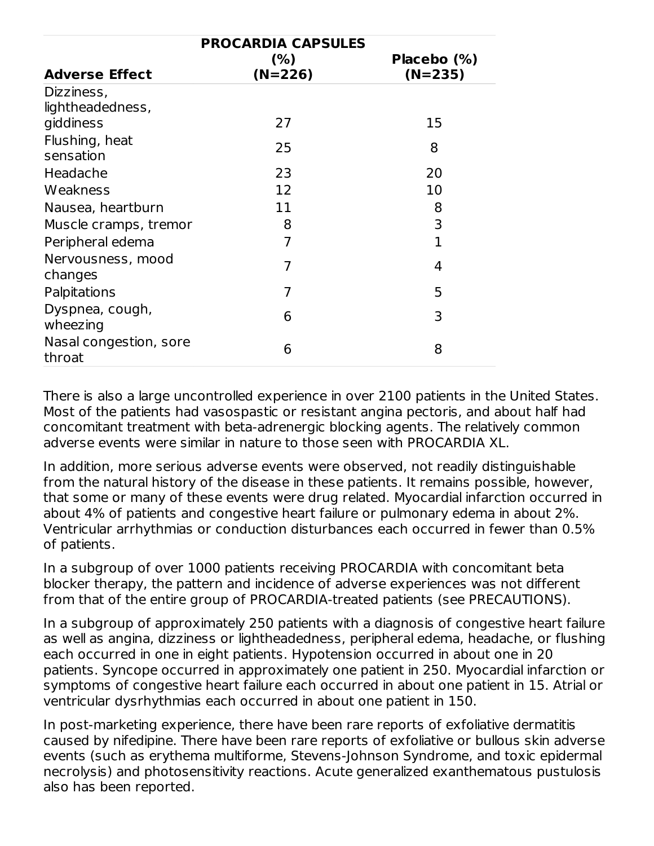|                                  | <b>PROCARDIA CAPSULES</b> |                          |
|----------------------------------|---------------------------|--------------------------|
| <b>Adverse Effect</b>            | (% )<br>$(N=226)$         | Placebo (%)<br>$(N=235)$ |
|                                  |                           |                          |
| Dizziness,<br>lightheadedness,   |                           |                          |
| giddiness                        | 27                        | 15                       |
| Flushing, heat<br>sensation      | 25                        | 8                        |
| Headache                         | 23                        | 20                       |
| Weakness                         | 12                        | 10                       |
| Nausea, heartburn                | 11                        | 8                        |
| Muscle cramps, tremor            | 8                         | 3                        |
| Peripheral edema                 | 7                         | 1                        |
| Nervousness, mood<br>changes     | 7                         | 4                        |
| Palpitations                     | 7                         | 5                        |
| Dyspnea, cough,<br>wheezing      | 6                         | 3                        |
| Nasal congestion, sore<br>throat | 6                         | 8                        |

There is also a large uncontrolled experience in over 2100 patients in the United States. Most of the patients had vasospastic or resistant angina pectoris, and about half had concomitant treatment with beta-adrenergic blocking agents. The relatively common adverse events were similar in nature to those seen with PROCARDIA XL.

In addition, more serious adverse events were observed, not readily distinguishable from the natural history of the disease in these patients. It remains possible, however, that some or many of these events were drug related. Myocardial infarction occurred in about 4% of patients and congestive heart failure or pulmonary edema in about 2%. Ventricular arrhythmias or conduction disturbances each occurred in fewer than 0.5% of patients.

In a subgroup of over 1000 patients receiving PROCARDIA with concomitant beta blocker therapy, the pattern and incidence of adverse experiences was not different from that of the entire group of PROCARDIA-treated patients (see PRECAUTIONS).

In a subgroup of approximately 250 patients with a diagnosis of congestive heart failure as well as angina, dizziness or lightheadedness, peripheral edema, headache, or flushing each occurred in one in eight patients. Hypotension occurred in about one in 20 patients. Syncope occurred in approximately one patient in 250. Myocardial infarction or symptoms of congestive heart failure each occurred in about one patient in 15. Atrial or ventricular dysrhythmias each occurred in about one patient in 150.

In post-marketing experience, there have been rare reports of exfoliative dermatitis caused by nifedipine. There have been rare reports of exfoliative or bullous skin adverse events (such as erythema multiforme, Stevens-Johnson Syndrome, and toxic epidermal necrolysis) and photosensitivity reactions. Acute generalized exanthematous pustulosis also has been reported.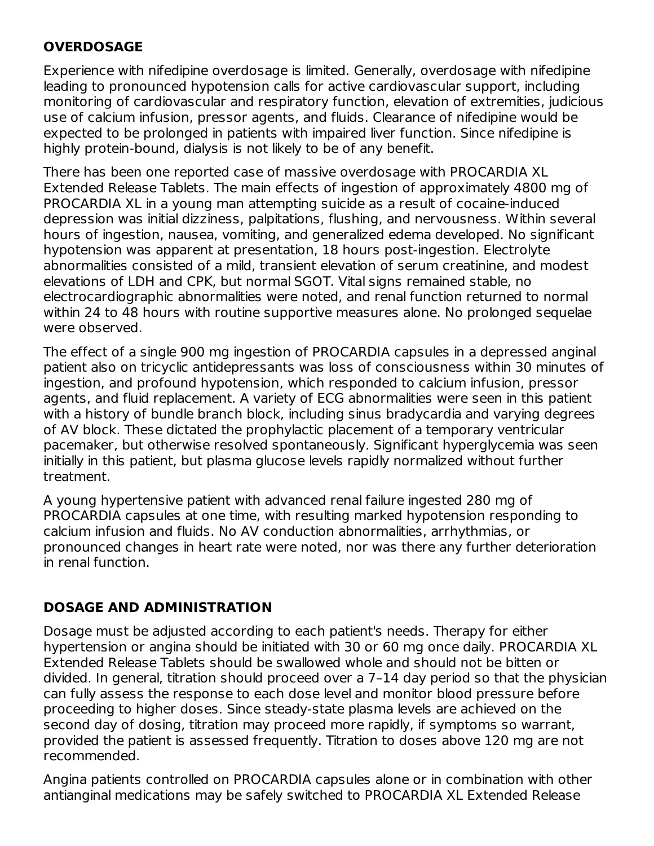## **OVERDOSAGE**

Experience with nifedipine overdosage is limited. Generally, overdosage with nifedipine leading to pronounced hypotension calls for active cardiovascular support, including monitoring of cardiovascular and respiratory function, elevation of extremities, judicious use of calcium infusion, pressor agents, and fluids. Clearance of nifedipine would be expected to be prolonged in patients with impaired liver function. Since nifedipine is highly protein-bound, dialysis is not likely to be of any benefit.

There has been one reported case of massive overdosage with PROCARDIA XL Extended Release Tablets. The main effects of ingestion of approximately 4800 mg of PROCARDIA XL in a young man attempting suicide as a result of cocaine-induced depression was initial dizziness, palpitations, flushing, and nervousness. Within several hours of ingestion, nausea, vomiting, and generalized edema developed. No significant hypotension was apparent at presentation, 18 hours post-ingestion. Electrolyte abnormalities consisted of a mild, transient elevation of serum creatinine, and modest elevations of LDH and CPK, but normal SGOT. Vital signs remained stable, no electrocardiographic abnormalities were noted, and renal function returned to normal within 24 to 48 hours with routine supportive measures alone. No prolonged sequelae were observed.

The effect of a single 900 mg ingestion of PROCARDIA capsules in a depressed anginal patient also on tricyclic antidepressants was loss of consciousness within 30 minutes of ingestion, and profound hypotension, which responded to calcium infusion, pressor agents, and fluid replacement. A variety of ECG abnormalities were seen in this patient with a history of bundle branch block, including sinus bradycardia and varying degrees of AV block. These dictated the prophylactic placement of a temporary ventricular pacemaker, but otherwise resolved spontaneously. Significant hyperglycemia was seen initially in this patient, but plasma glucose levels rapidly normalized without further treatment.

A young hypertensive patient with advanced renal failure ingested 280 mg of PROCARDIA capsules at one time, with resulting marked hypotension responding to calcium infusion and fluids. No AV conduction abnormalities, arrhythmias, or pronounced changes in heart rate were noted, nor was there any further deterioration in renal function.

## **DOSAGE AND ADMINISTRATION**

Dosage must be adjusted according to each patient's needs. Therapy for either hypertension or angina should be initiated with 30 or 60 mg once daily. PROCARDIA XL Extended Release Tablets should be swallowed whole and should not be bitten or divided. In general, titration should proceed over a 7–14 day period so that the physician can fully assess the response to each dose level and monitor blood pressure before proceeding to higher doses. Since steady-state plasma levels are achieved on the second day of dosing, titration may proceed more rapidly, if symptoms so warrant, provided the patient is assessed frequently. Titration to doses above 120 mg are not recommended.

Angina patients controlled on PROCARDIA capsules alone or in combination with other antianginal medications may be safely switched to PROCARDIA XL Extended Release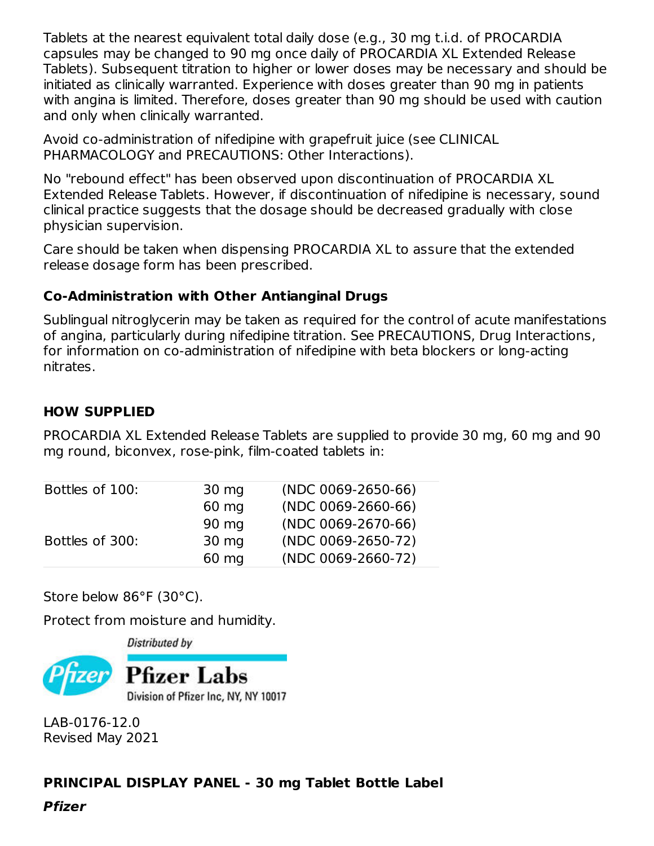Tablets at the nearest equivalent total daily dose (e.g., 30 mg t.i.d. of PROCARDIA capsules may be changed to 90 mg once daily of PROCARDIA XL Extended Release Tablets). Subsequent titration to higher or lower doses may be necessary and should be initiated as clinically warranted. Experience with doses greater than 90 mg in patients with angina is limited. Therefore, doses greater than 90 mg should be used with caution and only when clinically warranted.

Avoid co-administration of nifedipine with grapefruit juice (see CLINICAL PHARMACOLOGY and PRECAUTIONS: Other Interactions).

No "rebound effect" has been observed upon discontinuation of PROCARDIA XL Extended Release Tablets. However, if discontinuation of nifedipine is necessary, sound clinical practice suggests that the dosage should be decreased gradually with close physician supervision.

Care should be taken when dispensing PROCARDIA XL to assure that the extended release dosage form has been prescribed.

## **Co-Administration with Other Antianginal Drugs**

Sublingual nitroglycerin may be taken as required for the control of acute manifestations of angina, particularly during nifedipine titration. See PRECAUTIONS, Drug Interactions, for information on co-administration of nifedipine with beta blockers or long-acting nitrates.

# **HOW SUPPLIED**

PROCARDIA XL Extended Release Tablets are supplied to provide 30 mg, 60 mg and 90 mg round, biconvex, rose-pink, film-coated tablets in:

| Bottles of 100: | 30 mg | $( NDC 0069 - 2650 - 66)$ |
|-----------------|-------|---------------------------|
|                 | 60 mg | $( NDC 0069 - 2660 - 66)$ |
|                 | 90 mg | (NDC 0069-2670-66)        |
| Bottles of 300: | 30 mg | (NDC 0069-2650-72)        |
|                 | 60 mg | (NDC 0069-2660-72)        |

Store below 86°F (30°C).

Protect from moisture and humidity.

**Distributed by** 



LAB-0176-12.0 Revised May 2021

# **PRINCIPAL DISPLAY PANEL - 30 mg Tablet Bottle Label**

**Pfizer**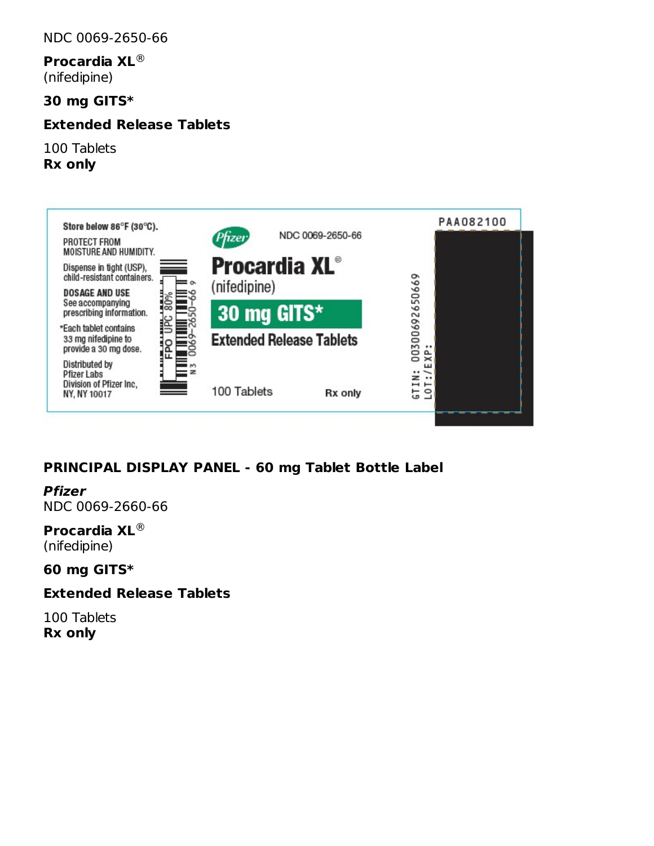#### NDC 0069-2650-66

**Procardia XL** ® (nifedipine)

#### **30 mg GITS\***

#### **Extended Release Tablets**

100 Tablets **Rx only**



## **PRINCIPAL DISPLAY PANEL - 60 mg Tablet Bottle Label**

# **Pfizer**

NDC 0069-2660-66

#### **Procardia XL** ®

(nifedipine)

#### **60 mg GITS\***

#### **Extended Release Tablets**

100 Tablets **Rx only**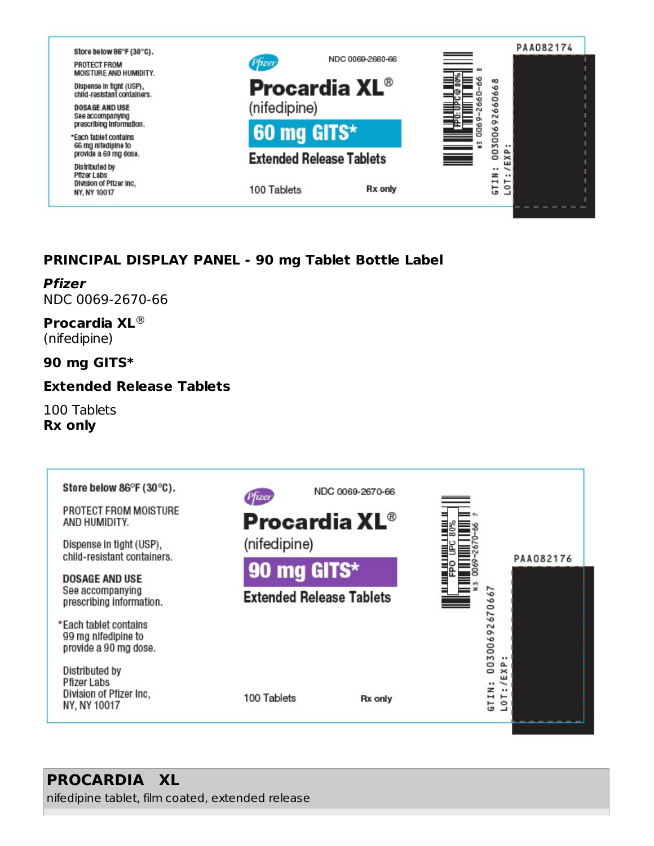

# **PRINCIPAL DISPLAY PANEL - 90 mg Tablet Bottle Label**

#### **Pfizer** NDC 0069-2670-66

**Procardia XL** ®(nifedipine)

#### **90 mg GITS\***

#### **Extended Release Tablets**

100 Tablets **Rx only**



## **PROCARDIA XL** nifedipine tablet, film coated, extended release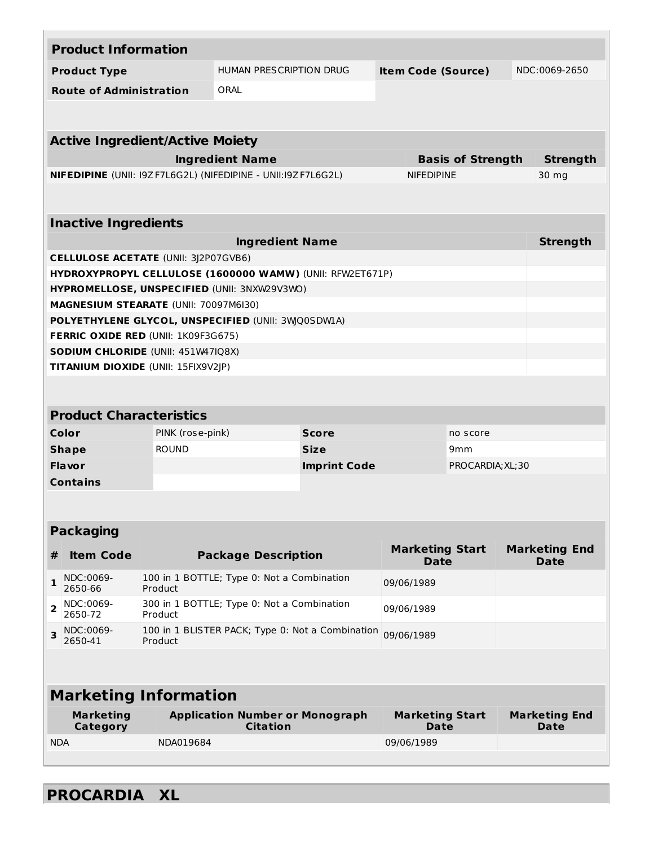|                         | <b>Product Information</b>                                   |              |                                                           |                     |                                |                        |                           |                                     |                      |
|-------------------------|--------------------------------------------------------------|--------------|-----------------------------------------------------------|---------------------|--------------------------------|------------------------|---------------------------|-------------------------------------|----------------------|
|                         | <b>Product Type</b>                                          |              | HUMAN PRESCRIPTION DRUG                                   |                     |                                |                        | <b>Item Code (Source)</b> |                                     | NDC:0069-2650        |
|                         | <b>Route of Administration</b>                               |              | ORAL                                                      |                     |                                |                        |                           |                                     |                      |
|                         |                                                              |              |                                                           |                     |                                |                        |                           |                                     |                      |
|                         | <b>Active Ingredient/Active Moiety</b>                       |              |                                                           |                     |                                |                        |                           |                                     |                      |
|                         |                                                              |              | <b>Ingredient Name</b>                                    |                     |                                |                        | <b>Basis of Strength</b>  |                                     | <b>Strength</b>      |
|                         | NIFEDIPINE (UNII: I9ZF7L6G2L) (NIFEDIPINE - UNII:I9ZF7L6G2L) |              |                                                           |                     | <b>NIFEDIPINE</b>              |                        |                           | 30 mg                               |                      |
|                         |                                                              |              |                                                           |                     |                                |                        |                           |                                     |                      |
|                         | <b>Inactive Ingredients</b>                                  |              |                                                           |                     |                                |                        |                           |                                     |                      |
|                         |                                                              |              | <b>Ingredient Name</b>                                    |                     |                                |                        |                           |                                     | <b>Strength</b>      |
|                         | <b>CELLULOSE ACETATE (UNII: 3J2P07GVB6)</b>                  |              |                                                           |                     |                                |                        |                           |                                     |                      |
|                         |                                                              |              | HYDROXYPROPYL CELLULOSE (1600000 WAMW) (UNII: RFW2ET671P) |                     |                                |                        |                           |                                     |                      |
|                         |                                                              |              | HYPROMELLOSE, UNSPECIFIED (UNII: 3NXW29V3WO)              |                     |                                |                        |                           |                                     |                      |
|                         | MAGNESIUM STEARATE (UNII: 70097M6I30)                        |              | POLYETHYLENE GLYCOL, UNSPECIFIED (UNII: 3WQ0SDWLA)        |                     |                                |                        |                           |                                     |                      |
|                         | FERRIC OXIDE RED (UNII: 1K09F3G675)                          |              |                                                           |                     |                                |                        |                           |                                     |                      |
|                         | <b>SODIUM CHLORIDE (UNII: 451W47IQ8X)</b>                    |              |                                                           |                     |                                |                        |                           |                                     |                      |
|                         | TITANIUM DIOXIDE (UNII: 15FIX9V2JP)                          |              |                                                           |                     |                                |                        |                           |                                     |                      |
|                         |                                                              |              |                                                           |                     |                                |                        |                           |                                     |                      |
|                         |                                                              |              |                                                           |                     |                                |                        |                           |                                     |                      |
|                         | <b>Product Characteristics</b>                               |              |                                                           |                     |                                |                        |                           |                                     |                      |
|                         | Color                                                        |              | PINK (rose-pink)<br><b>Score</b>                          |                     |                                |                        | no score                  |                                     |                      |
|                         | <b>Shape</b>                                                 | <b>ROUND</b> |                                                           | <b>Size</b>         |                                |                        | 9 <sub>mm</sub>           |                                     |                      |
|                         | <b>Flavor</b>                                                |              |                                                           | <b>Imprint Code</b> |                                |                        | PROCARDIA; XL; 30         |                                     |                      |
|                         | <b>Contains</b>                                              |              |                                                           |                     |                                |                        |                           |                                     |                      |
|                         |                                                              |              |                                                           |                     |                                |                        |                           |                                     |                      |
|                         | <b>Packaging</b>                                             |              |                                                           |                     |                                |                        |                           |                                     |                      |
|                         |                                                              |              |                                                           |                     |                                | <b>Marketing Start</b> |                           |                                     | <b>Marketing End</b> |
| #                       | <b>Item Code</b>                                             |              | <b>Package Description</b>                                |                     |                                | <b>Date</b>            |                           |                                     | <b>Date</b>          |
| 1                       | NDC:0069-<br>2650-66                                         | Product      | 100 in 1 BOTTLE; Type 0: Not a Combination                |                     | 09/06/1989                     |                        |                           |                                     |                      |
| $\overline{\mathbf{2}}$ | NDC:0069-<br>2650-72                                         | Product      | 300 in 1 BOTTLE; Type 0: Not a Combination                |                     | 09/06/1989                     |                        |                           |                                     |                      |
| 3                       | NDC:0069-<br>2650-41                                         | Product      | 100 in 1 BLISTER PACK; Type 0: Not a Combination          |                     |                                | 09/06/1989             |                           |                                     |                      |
|                         |                                                              |              |                                                           |                     |                                |                        |                           |                                     |                      |
|                         | <b>Marketing Information</b>                                 |              |                                                           |                     |                                |                        |                           |                                     |                      |
|                         | <b>Marketing</b><br>Category                                 |              | <b>Application Number or Monograph</b><br><b>Citation</b> |                     | <b>Marketing Start</b><br>Date |                        |                           | <b>Marketing End</b><br><b>Date</b> |                      |
| <b>NDA</b>              |                                                              | NDA019684    |                                                           |                     |                                | 09/06/1989             |                           |                                     |                      |
|                         |                                                              |              |                                                           |                     |                                |                        |                           |                                     |                      |

**PROCARDIA XL**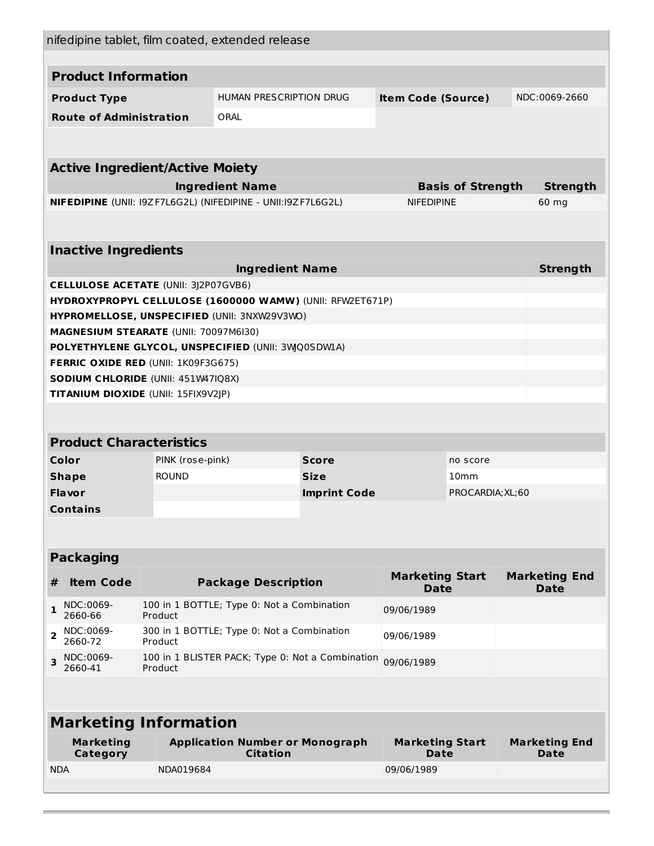|              | nifedipine tablet, film coated, extended release |                                                             |                                                              |                     |                                       |                   |                                     |                 |
|--------------|--------------------------------------------------|-------------------------------------------------------------|--------------------------------------------------------------|---------------------|---------------------------------------|-------------------|-------------------------------------|-----------------|
|              | <b>Product Information</b>                       |                                                             |                                                              |                     |                                       |                   |                                     |                 |
|              |                                                  |                                                             |                                                              |                     |                                       |                   |                                     |                 |
|              | <b>Product Type</b>                              |                                                             | HUMAN PRESCRIPTION DRUG<br><b>Item Code (Source)</b>         |                     |                                       |                   |                                     | NDC:0069-2660   |
|              | <b>Route of Administration</b>                   |                                                             | ORAL                                                         |                     |                                       |                   |                                     |                 |
|              |                                                  |                                                             |                                                              |                     |                                       |                   |                                     |                 |
|              | <b>Active Ingredient/Active Moiety</b>           |                                                             |                                                              |                     |                                       |                   |                                     |                 |
|              | <b>Ingredient Name</b>                           |                                                             |                                                              |                     | <b>Basis of Strength</b>              |                   | <b>Strength</b>                     |                 |
|              |                                                  |                                                             | NIFEDIPINE (UNII: I9ZF7L6G2L) (NIFEDIPINE - UNII:I9ZF7L6G2L) |                     | <b>NIFEDIPINE</b>                     |                   |                                     | 60 mg           |
|              |                                                  |                                                             |                                                              |                     |                                       |                   |                                     |                 |
|              | <b>Inactive Ingredients</b>                      |                                                             |                                                              |                     |                                       |                   |                                     |                 |
|              |                                                  |                                                             | <b>Ingredient Name</b>                                       |                     |                                       |                   |                                     | <b>Strength</b> |
|              | <b>CELLULOSE ACETATE (UNII: 3J2P07GVB6)</b>      |                                                             |                                                              |                     |                                       |                   |                                     |                 |
|              |                                                  |                                                             | HYDROXYPROPYL CELLULOSE (1600000 WAMW) (UNII: RFW2ET671P)    |                     |                                       |                   |                                     |                 |
|              |                                                  |                                                             | HYPROMELLOSE, UNSPECIFIED (UNII: 3NXW29V3WO)                 |                     |                                       |                   |                                     |                 |
|              | MAGNESIUM STEARATE (UNII: 70097M6I30)            |                                                             |                                                              |                     |                                       |                   |                                     |                 |
|              |                                                  |                                                             | POLYETHYLENE GLYCOL, UNSPECIFIED (UNII: 3WQ0SDW1A)           |                     |                                       |                   |                                     |                 |
|              | FERRIC OXIDE RED (UNII: 1K09F3G675)              |                                                             |                                                              |                     |                                       |                   |                                     |                 |
|              | <b>SODIUM CHLORIDE (UNII: 451W47IQ8X)</b>        |                                                             |                                                              |                     |                                       |                   |                                     |                 |
|              | TITANIUM DIOXIDE (UNII: 15FIX9V2JP)              |                                                             |                                                              |                     |                                       |                   |                                     |                 |
|              |                                                  |                                                             |                                                              |                     |                                       |                   |                                     |                 |
|              | <b>Product Characteristics</b>                   |                                                             |                                                              |                     |                                       |                   |                                     |                 |
|              | Color                                            | PINK (rose-pink)                                            |                                                              | <b>Score</b>        |                                       | no score          |                                     |                 |
|              | <b>Shape</b>                                     | <b>ROUND</b>                                                |                                                              | <b>Size</b>         |                                       | 10mm              |                                     |                 |
|              | Flavor                                           |                                                             |                                                              | <b>Imprint Code</b> |                                       | PROCARDIA; XL; 60 |                                     |                 |
|              | Contains                                         |                                                             |                                                              |                     |                                       |                   |                                     |                 |
|              |                                                  |                                                             |                                                              |                     |                                       |                   |                                     |                 |
|              | <b>Packaging</b>                                 |                                                             |                                                              |                     |                                       |                   |                                     |                 |
| #            | <b>Item Code</b>                                 |                                                             | <b>Package Description</b>                                   |                     | <b>Marketing Start</b><br><b>Date</b> |                   | <b>Marketing End</b><br><b>Date</b> |                 |
| 1            | NDC:0069-<br>2660-66                             | Product                                                     | 100 in 1 BOTTLE; Type 0: Not a Combination                   |                     | 09/06/1989                            |                   |                                     |                 |
| $\mathbf{z}$ | NDC:0069-<br>2660-72                             | Product                                                     | 300 in 1 BOTTLE; Type 0: Not a Combination                   |                     |                                       | 09/06/1989        |                                     |                 |
| 3            | NDC:0069-<br>2660-41                             | 100 in 1 BLISTER PACK; Type 0: Not a Combination<br>Product |                                                              |                     | 09/06/1989                            |                   |                                     |                 |
|              |                                                  |                                                             |                                                              |                     |                                       |                   |                                     |                 |
|              | <b>Marketing Information</b>                     |                                                             |                                                              |                     |                                       |                   |                                     |                 |
|              | <b>Marketing</b><br><b>Category</b>              |                                                             | <b>Application Number or Monograph</b><br><b>Citation</b>    |                     | <b>Marketing Start</b><br><b>Date</b> |                   | <b>Marketing End</b><br><b>Date</b> |                 |
| <b>NDA</b>   |                                                  | NDA019684                                                   |                                                              |                     | 09/06/1989                            |                   |                                     |                 |
|              |                                                  |                                                             |                                                              |                     |                                       |                   |                                     |                 |
|              |                                                  |                                                             |                                                              |                     |                                       |                   |                                     |                 |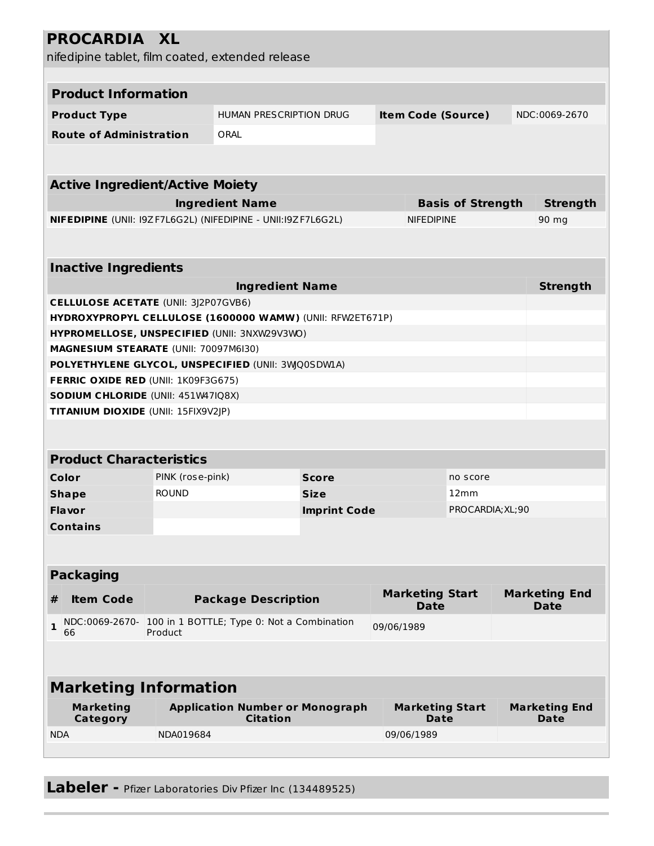| nifedipine tablet, film coated, extended release<br><b>Product Information</b>                                                                              |  |  |  |  |  |  |
|-------------------------------------------------------------------------------------------------------------------------------------------------------------|--|--|--|--|--|--|
|                                                                                                                                                             |  |  |  |  |  |  |
|                                                                                                                                                             |  |  |  |  |  |  |
| NDC:0069-2670<br><b>Product Type</b><br>HUMAN PRESCRIPTION DRUG<br><b>Item Code (Source)</b>                                                                |  |  |  |  |  |  |
| <b>Route of Administration</b><br>ORAL                                                                                                                      |  |  |  |  |  |  |
|                                                                                                                                                             |  |  |  |  |  |  |
|                                                                                                                                                             |  |  |  |  |  |  |
| <b>Active Ingredient/Active Moiety</b>                                                                                                                      |  |  |  |  |  |  |
| <b>Ingredient Name</b><br><b>Basis of Strength</b><br><b>Strength</b>                                                                                       |  |  |  |  |  |  |
| NIFEDIPINE (UNII: I9ZF7L6G2L) (NIFEDIPINE - UNII:I9ZF7L6G2L)<br><b>NIFEDIPINE</b><br>90 mg                                                                  |  |  |  |  |  |  |
|                                                                                                                                                             |  |  |  |  |  |  |
| <b>Inactive Ingredients</b>                                                                                                                                 |  |  |  |  |  |  |
|                                                                                                                                                             |  |  |  |  |  |  |
| <b>Ingredient Name</b><br><b>Strength</b><br><b>CELLULOSE ACETATE (UNII: 3J2P07GVB6)</b>                                                                    |  |  |  |  |  |  |
| HYDROXYPROPYL CELLULOSE (1600000 WAMW) (UNII: RFW2ET671P)                                                                                                   |  |  |  |  |  |  |
| HYPROMELLOSE, UNSPECIFIED (UNII: 3NXW29V3WO)                                                                                                                |  |  |  |  |  |  |
| MAGNESIUM STEARATE (UNII: 70097M6I30)                                                                                                                       |  |  |  |  |  |  |
| POLYETHYLENE GLYCOL, UNSPECIFIED (UNII: 3WQ0SDWLA)                                                                                                          |  |  |  |  |  |  |
| FERRIC OXIDE RED (UNII: 1K09F3G675)                                                                                                                         |  |  |  |  |  |  |
| <b>SODIUM CHLORIDE (UNII: 451W47IQ8X)</b>                                                                                                                   |  |  |  |  |  |  |
| TITANIUM DIOXIDE (UNII: 15FIX9V2JP)                                                                                                                         |  |  |  |  |  |  |
|                                                                                                                                                             |  |  |  |  |  |  |
| <b>Product Characteristics</b>                                                                                                                              |  |  |  |  |  |  |
| Color<br>PINK (rose-pink)<br><b>Score</b><br>no score                                                                                                       |  |  |  |  |  |  |
| <b>ROUND</b><br><b>Size</b><br>12mm<br><b>Shape</b>                                                                                                         |  |  |  |  |  |  |
| <b>Flavor</b><br><b>Imprint Code</b><br>PROCARDIA; XL; 90                                                                                                   |  |  |  |  |  |  |
| <b>Contains</b>                                                                                                                                             |  |  |  |  |  |  |
|                                                                                                                                                             |  |  |  |  |  |  |
|                                                                                                                                                             |  |  |  |  |  |  |
| <b>Packaging</b>                                                                                                                                            |  |  |  |  |  |  |
| <b>Marketing Start</b><br><b>Marketing End</b><br><b>Item Code</b><br><b>Package Description</b><br>#<br><b>Date</b><br><b>Date</b>                         |  |  |  |  |  |  |
| NDC:0069-2670-<br>100 in 1 BOTTLE; Type 0: Not a Combination<br>$\mathbf{1}$<br>09/06/1989<br>Product<br>66                                                 |  |  |  |  |  |  |
|                                                                                                                                                             |  |  |  |  |  |  |
|                                                                                                                                                             |  |  |  |  |  |  |
| <b>Marketing Information</b>                                                                                                                                |  |  |  |  |  |  |
| <b>Application Number or Monograph</b><br><b>Marketing Start</b><br><b>Marketing</b><br><b>Marketing End</b><br><b>Citation</b><br>Category<br>Date<br>Date |  |  |  |  |  |  |
| <b>NDA</b><br>NDA019684<br>09/06/1989                                                                                                                       |  |  |  |  |  |  |

**Labeler -** Pfizer Laboratories Div Pfizer Inc (134489525)